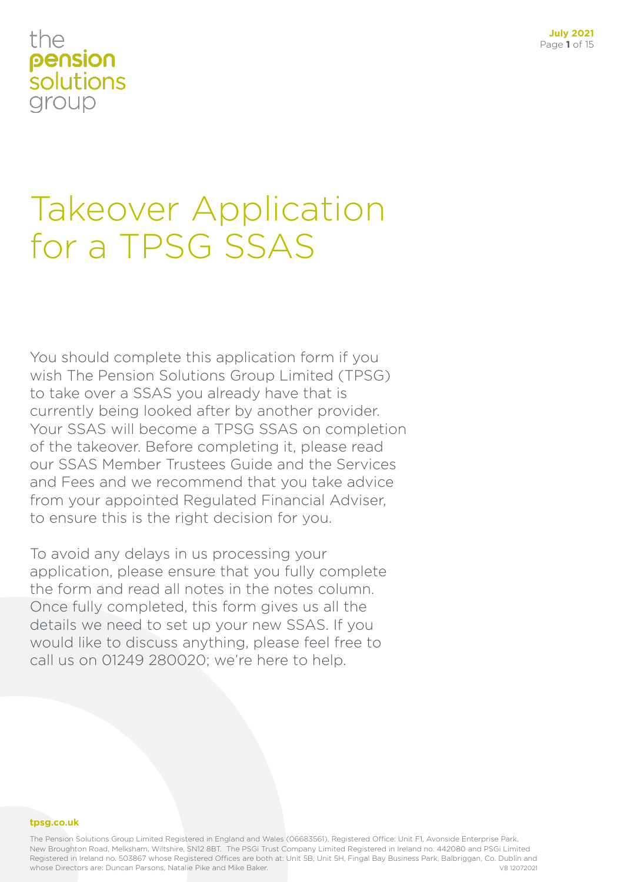# the pension solutions group

# Takeover Application for a TPSG SSAS

You should complete this application form if you wish The Pension Solutions Group Limited (TPSG) to take over a SSAS you already have that is currently being looked after by another provider. Your SSAS will become a TPSG SSAS on completion of the takeover. Before completing it, please read our SSAS Member Trustees Guide and the Services and Fees and we recommend that you take advice from your appointed Regulated Financial Adviser, to ensure this is the right decision for you.

To avoid any delays in us processing your application, please ensure that you fully complete the form and read all notes in the notes column. Once fully completed, this form gives us all the details we need to set up your new SSAS. If you would like to discuss anything, please feel free to call us on 01249 280020; we're here to help.

### **tpsg.co.uk**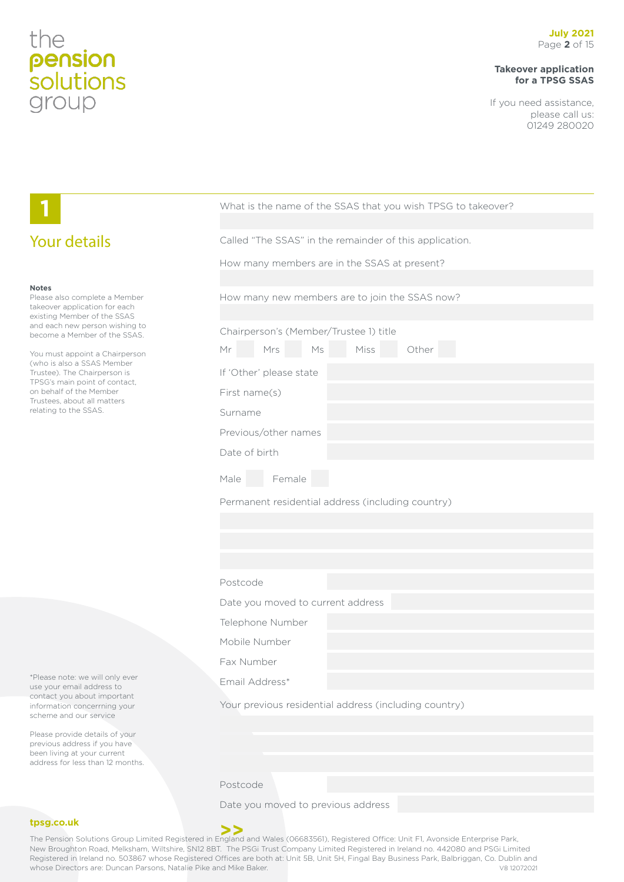# **Takeover application for a TPSG SSAS**

If you need assistance, please call us: 01249 280020

|                                                                                                                                   | What is the name of the SSAS that you wish TPSG to takeover?                                                                          |  |  |
|-----------------------------------------------------------------------------------------------------------------------------------|---------------------------------------------------------------------------------------------------------------------------------------|--|--|
| <b>Your details</b>                                                                                                               | Called "The SSAS" in the remainder of this application.                                                                               |  |  |
|                                                                                                                                   | How many members are in the SSAS at present?                                                                                          |  |  |
| <b>Notes</b><br>Please also complete a Member<br>takeover application for each<br>existing Member of the SSAS                     | How many new members are to join the SSAS now?                                                                                        |  |  |
| and each new person wishing to<br>become a Member of the SSAS.                                                                    | Chairperson's (Member/Trustee 1) title                                                                                                |  |  |
| You must appoint a Chairperson                                                                                                    | Ms<br>Miss<br>Other<br>Mrs<br>Mr                                                                                                      |  |  |
| (who is also a SSAS Member<br>Trustee). The Chairperson is                                                                        | If 'Other' please state                                                                                                               |  |  |
| TPSG's main point of contact,<br>on behalf of the Member<br>Trustees, about all matters                                           | First name(s)                                                                                                                         |  |  |
| relating to the SSAS.                                                                                                             | Surname                                                                                                                               |  |  |
|                                                                                                                                   | Previous/other names                                                                                                                  |  |  |
|                                                                                                                                   | Date of birth                                                                                                                         |  |  |
|                                                                                                                                   | Female<br>Male                                                                                                                        |  |  |
|                                                                                                                                   | Permanent residential address (including country)                                                                                     |  |  |
|                                                                                                                                   |                                                                                                                                       |  |  |
|                                                                                                                                   |                                                                                                                                       |  |  |
|                                                                                                                                   |                                                                                                                                       |  |  |
|                                                                                                                                   | Postcode                                                                                                                              |  |  |
|                                                                                                                                   | Date you moved to current address                                                                                                     |  |  |
|                                                                                                                                   | Telephone Number                                                                                                                      |  |  |
|                                                                                                                                   | Mobile Number                                                                                                                         |  |  |
|                                                                                                                                   | Fax Number                                                                                                                            |  |  |
| *Please note: we will only ever<br>use your email address to                                                                      | Email Address*                                                                                                                        |  |  |
| contact you about important<br>information concerrning your<br>scheme and our service                                             | Your previous residential address (including country)                                                                                 |  |  |
| Please provide details of your<br>previous address if you have<br>been living at your current<br>address for less than 12 months. |                                                                                                                                       |  |  |
|                                                                                                                                   | Postcode                                                                                                                              |  |  |
|                                                                                                                                   | Date you moved to previous address                                                                                                    |  |  |
| tpsg.co.uk                                                                                                                        |                                                                                                                                       |  |  |
|                                                                                                                                   | The Pension Solutions Group Limited Registered in England and Wales (06683561), Registered Office: Unit F1, Avonside Enterprise Park, |  |  |

New Broughton Road, Melksham, Wiltshire, SN12 8BT. The PSGi Trust Company Limited Registered in Ireland no. 442080 and PSGi Limited Registered in Ireland no. 503867 whose Registered Offices are both at: Unit 5B, Unit 5H, Fingal Bay Business Park, Balbriggan, Co. Dublin and<br>whose Directors are: Duncan Parsons, Natalie Pike and Mike Baker. whose Directors are: Duncan Parsons, Natalie Pike and Mike Baker.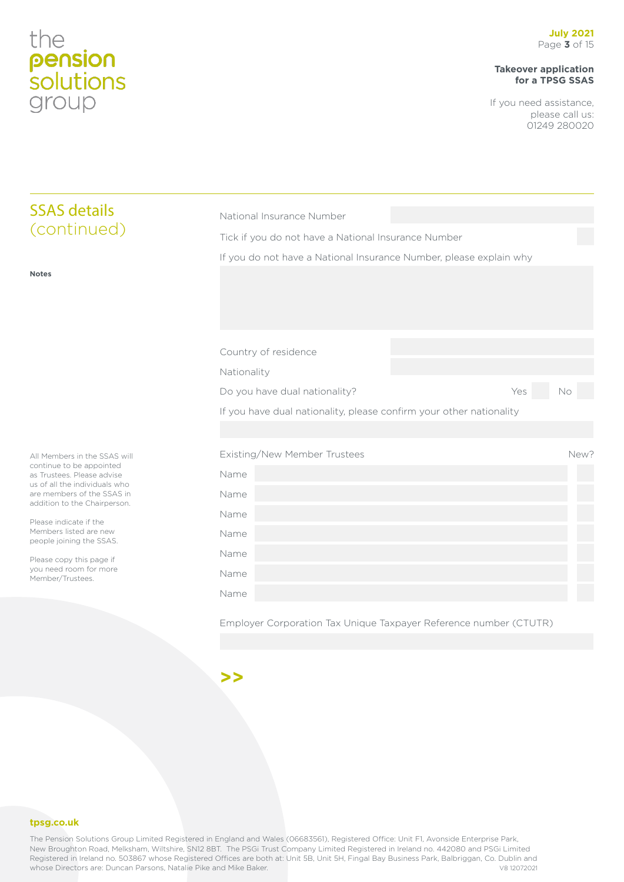# **Takeover application for a TPSG SSAS**

If you need assistance, please call us: 01249 280020

| <b>SSAS details</b>                                                                                                                                                                                                                                                                                                                             | National Insurance Number                                                            |     |           |  |
|-------------------------------------------------------------------------------------------------------------------------------------------------------------------------------------------------------------------------------------------------------------------------------------------------------------------------------------------------|--------------------------------------------------------------------------------------|-----|-----------|--|
| (continued)                                                                                                                                                                                                                                                                                                                                     | Tick if you do not have a National Insurance Number                                  |     |           |  |
|                                                                                                                                                                                                                                                                                                                                                 | If you do not have a National Insurance Number, please explain why                   |     |           |  |
| <b>Notes</b>                                                                                                                                                                                                                                                                                                                                    |                                                                                      |     |           |  |
|                                                                                                                                                                                                                                                                                                                                                 | Country of residence<br>Nationality                                                  |     |           |  |
|                                                                                                                                                                                                                                                                                                                                                 | Do you have dual nationality?                                                        | Yes | <b>No</b> |  |
|                                                                                                                                                                                                                                                                                                                                                 | If you have dual nationality, please confirm your other nationality                  |     |           |  |
| All Members in the SSAS will<br>continue to be appointed<br>as Trustees. Please advise<br>us of all the individuals who<br>are members of the SSAS in<br>addition to the Chairperson.<br>Please indicate if the<br>Members listed are new<br>people joining the SSAS.<br>Please copy this page if<br>you need room for more<br>Member/Trustees. | Existing/New Member Trustees<br>Name<br>Name<br>Name<br>Name<br>Name<br>Name<br>Name |     | New?      |  |
|                                                                                                                                                                                                                                                                                                                                                 | Employer Corporation Tax Unique Taxpayer Reference number (CTUTR)                    |     |           |  |

**>>**

**tpsg.co.uk**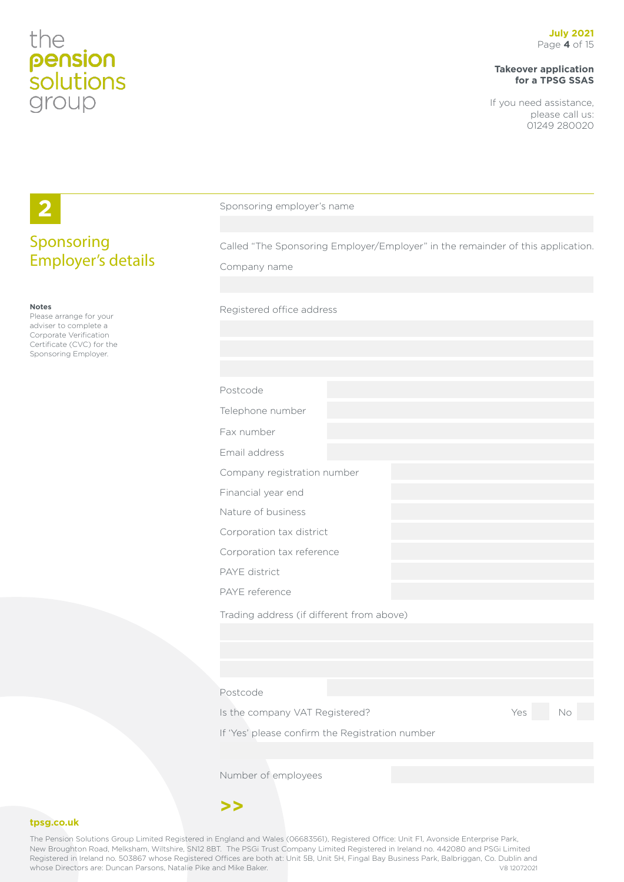# **Takeover application for a TPSG SSAS**

If you need assistance, please call us: 01249 280020

|                                                   | Sponsoring employer's name                                                      |
|---------------------------------------------------|---------------------------------------------------------------------------------|
|                                                   |                                                                                 |
| Sponsoring                                        | Called "The Sponsoring Employer/Employer" in the remainder of this application. |
| <b>Employer's details</b>                         | Company name                                                                    |
|                                                   |                                                                                 |
| <b>Notes</b><br>Please arrange for your           | Registered office address                                                       |
| adviser to complete a<br>Corporate Verification   |                                                                                 |
| Certificate (CVC) for the<br>Sponsoring Employer. |                                                                                 |
|                                                   |                                                                                 |
|                                                   | Postcode                                                                        |
|                                                   | Telephone number                                                                |
|                                                   | Fax number                                                                      |
|                                                   | Email address                                                                   |
|                                                   | Company registration number                                                     |
|                                                   | Financial year end                                                              |
|                                                   | Nature of business                                                              |
|                                                   | Corporation tax district                                                        |
|                                                   | Corporation tax reference                                                       |
|                                                   | PAYE district                                                                   |
|                                                   | PAYE reference                                                                  |
|                                                   | Trading address (if different from above)                                       |
|                                                   |                                                                                 |
|                                                   |                                                                                 |
|                                                   |                                                                                 |
|                                                   | Postcode                                                                        |
|                                                   | Is the company VAT Registered?<br>Yes<br>No                                     |
|                                                   | If 'Yes' please confirm the Registration number                                 |
|                                                   |                                                                                 |
|                                                   | Number of employees                                                             |
|                                                   |                                                                                 |
|                                                   |                                                                                 |

## **tpsg.co.uk**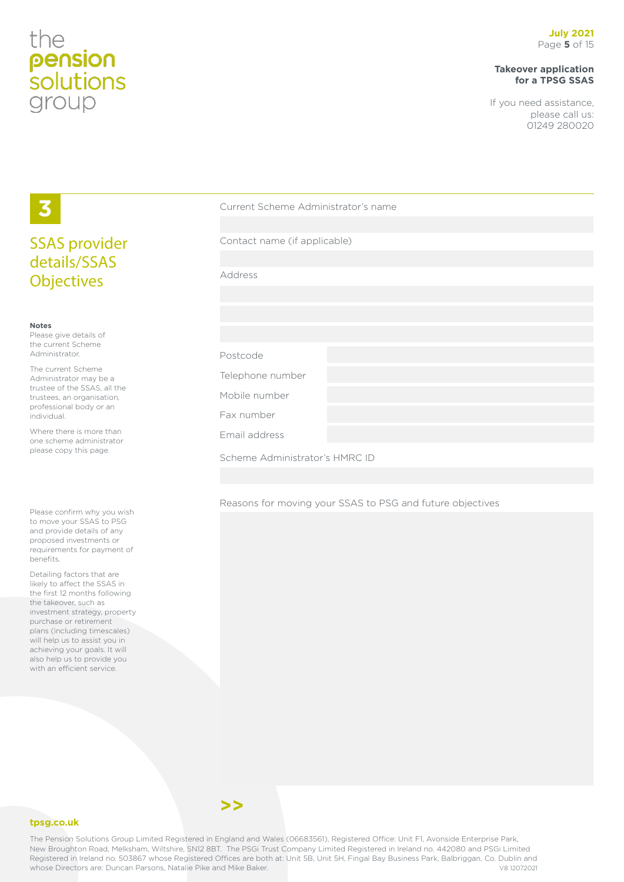# the pension<br>solutions group

# **Takeover application for a TPSG SSAS**

If you need assistance, please call us: 01249 280020

# **3** SSAS provider details/SSAS **Objectives**

### **Notes**

Please give details of the current Scheme Administrator.

The current Scheme Administrator may be a trustee of the SSAS, all the trustees, an organisation, professional body or an individual.

Where there is more than one scheme administrator please copy this page.

Please confirm why you wish to move your SSAS to PSG and provide details of any proposed investments or requirements for payment of benefits.

Detailing factors that are likely to affect the SSAS in the first 12 months following the takeover, such as investment strategy, property purchase or retirement plans (including timescales) will help us to assist you in achieving your goals. It will also help us to provide you with an efficient service.

| Current Scheme Administrator's name |  |  |
|-------------------------------------|--|--|
|                                     |  |  |
| Contact name (if applicable)        |  |  |
|                                     |  |  |
| Address                             |  |  |
|                                     |  |  |
|                                     |  |  |
|                                     |  |  |
| Postcode                            |  |  |
| Telephone number                    |  |  |
| Mobile number                       |  |  |
| Fax number                          |  |  |
| Email address                       |  |  |
| Scheme Administrator's HMRC ID      |  |  |

Reasons for moving your SSAS to PSG and future objectives



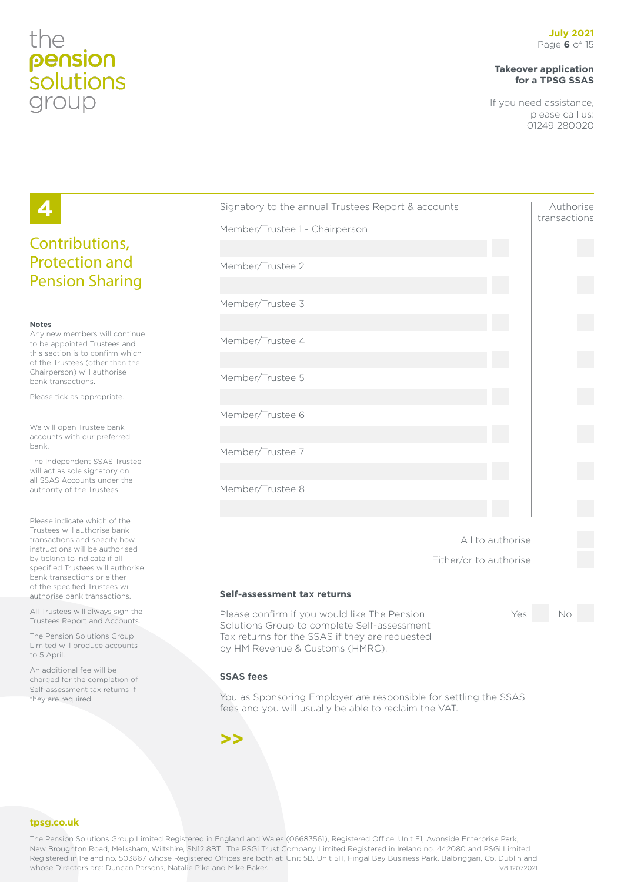# the pension *solutions* group

# **Takeover application for a TPSG SSAS**

If you need assistance, please call us: 01249 280020

# Signatory to the annual Trustees Report & accounts Authorise transactions Member/Trustee 1 - Chairperson Member/Trustee 2 Member/Trustee 3 Member/Trustee 4 Member/Trustee 5 Member/Trustee 6 Member/Trustee 7 Member/Trustee 8 All to authorise Either/or to authorise **Self-assessment tax returns** Please confirm if you would like The Pension The Yes No Solutions Group to complete Self-assessment Tax returns for the SSAS if they are requested by HM Revenue & Customs (HMRC).

### **SSAS fees**

You as Sponsoring Employer are responsible for settling the SSAS fees and you will usually be able to reclaim the VAT.

**>>**

# Contributions, Protection and Pension Sharing

### **Notes**

**4**

Any new members will continue to be appointed Trustees and this section is to confirm which of the Trustees (other than the Chairperson) will authorise bank transactions.

Please tick as appropriate.

We will open Trustee bank accounts with our preferred bank.

The Independent SSAS Trustee will act as sole signatory on all SSAS Accounts under the authority of the Trustees.

Please indicate which of the Trustees will authorise bank transactions and specify how instructions will be authorised by ticking to indicate if all specified Trustees will authorise bank transactions or either of the specified Trustees will authorise bank transactions.

All Trustees will always sign the Trustees Report and Accounts.

The Pension Solutions Group Limited will produce accounts to 5 April.

An additional fee will be charged for the completion of Self-assessment tax returns if they are required.

### **tpsg.co.uk**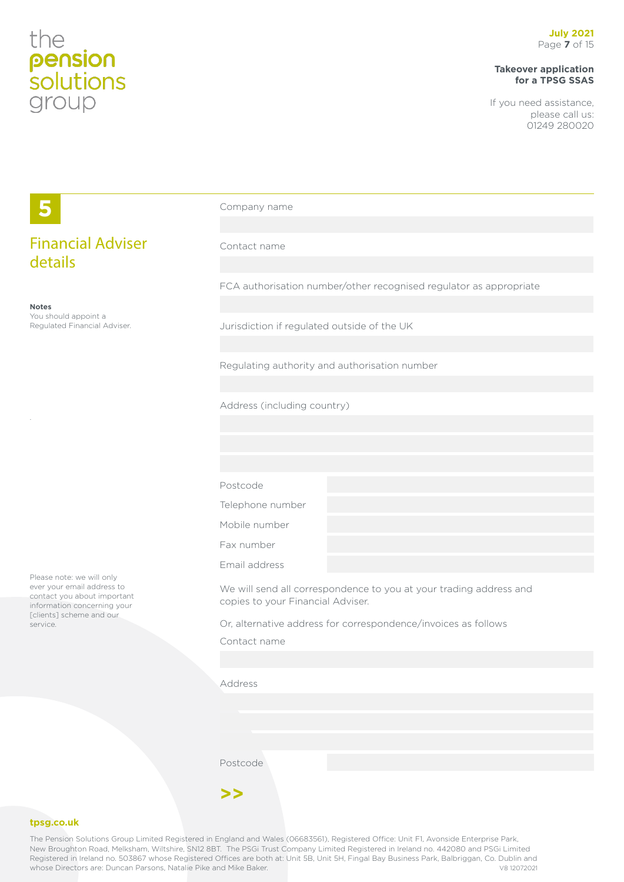# **Takeover application for a TPSG SSAS**

If you need assistance, please call us: 01249 280020

|                                                                                                                       | Company name                                                                                            |  |  |
|-----------------------------------------------------------------------------------------------------------------------|---------------------------------------------------------------------------------------------------------|--|--|
| <b>Financial Adviser</b><br>details                                                                                   | Contact name                                                                                            |  |  |
|                                                                                                                       | FCA authorisation number/other recognised regulator as appropriate                                      |  |  |
| <b>Notes</b><br>You should appoint a<br>Regulated Financial Adviser.                                                  | Jurisdiction if regulated outside of the UK                                                             |  |  |
|                                                                                                                       | Regulating authority and authorisation number                                                           |  |  |
|                                                                                                                       | Address (including country)                                                                             |  |  |
|                                                                                                                       |                                                                                                         |  |  |
|                                                                                                                       |                                                                                                         |  |  |
|                                                                                                                       | Postcode                                                                                                |  |  |
|                                                                                                                       | Telephone number                                                                                        |  |  |
|                                                                                                                       | Mobile number                                                                                           |  |  |
|                                                                                                                       | Fax number                                                                                              |  |  |
|                                                                                                                       | Email address                                                                                           |  |  |
| Please note: we will only<br>ever your email address to<br>contact you about important<br>information concerning your | We will send all correspondence to you at your trading address and<br>copies to your Financial Adviser. |  |  |
| [clients] scheme and our<br>service.                                                                                  | Or, alternative address for correspondence/invoices as follows                                          |  |  |
|                                                                                                                       | Contact name                                                                                            |  |  |
|                                                                                                                       |                                                                                                         |  |  |
|                                                                                                                       | Address                                                                                                 |  |  |
|                                                                                                                       |                                                                                                         |  |  |
|                                                                                                                       |                                                                                                         |  |  |
|                                                                                                                       |                                                                                                         |  |  |
|                                                                                                                       | Postcode                                                                                                |  |  |

## **tpsg.co.uk**

The Pension Solutions Group Limited Registered in England and Wales (06683561), Registered Office: Unit F1, Avonside Enterprise Park, New Broughton Road, Melksham, Wiltshire, SN12 8BT. The PSGi Trust Company Limited Registered in Ireland no. 442080 and PSGi Limited Registered in Ireland no. 503867 whose Registered Offices are both at: Unit 5B, Unit 5H, Fingal Bay Business Park, Balbriggan, Co. Dublin and<br>whose Directors are: Duncan Parsons, Natalie Pike and Mike Baker. whose Directors are: Duncan Parsons, Natalie Pike and Mike Baker.

**>>**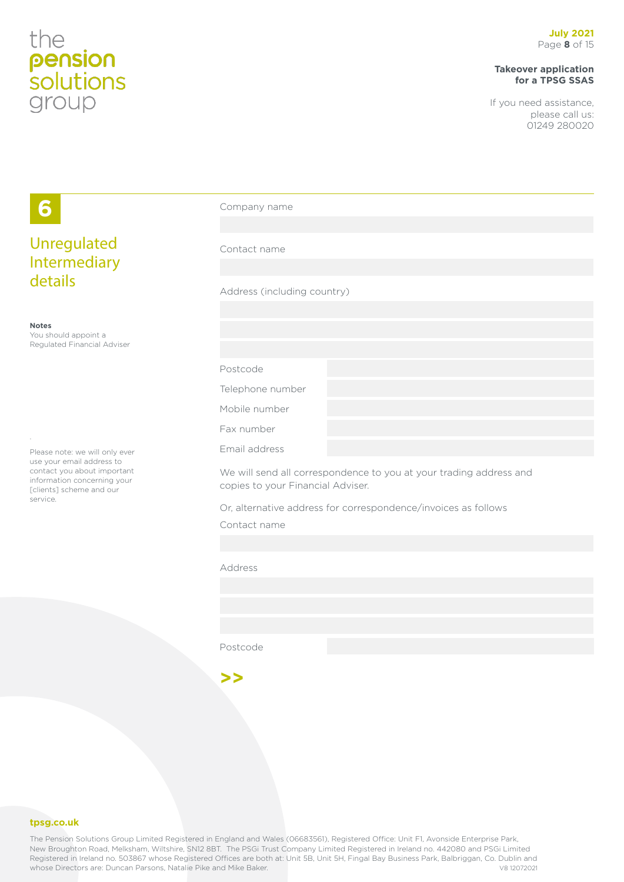# **Takeover application for a TPSG SSAS**

If you need assistance, please call us: 01249 280020

| 6                                                                                                                   | Company name                      |                                                                    |  |
|---------------------------------------------------------------------------------------------------------------------|-----------------------------------|--------------------------------------------------------------------|--|
|                                                                                                                     |                                   |                                                                    |  |
| Unregulated<br>Intermediary                                                                                         | Contact name                      |                                                                    |  |
|                                                                                                                     |                                   |                                                                    |  |
| details                                                                                                             | Address (including country)       |                                                                    |  |
|                                                                                                                     |                                   |                                                                    |  |
| <b>Notes</b><br>You should appoint a                                                                                |                                   |                                                                    |  |
| Regulated Financial Adviser                                                                                         |                                   |                                                                    |  |
|                                                                                                                     | Postcode                          |                                                                    |  |
|                                                                                                                     | Telephone number                  |                                                                    |  |
|                                                                                                                     | Mobile number                     |                                                                    |  |
|                                                                                                                     | Fax number                        |                                                                    |  |
| Please note: we will only ever                                                                                      | Email address                     |                                                                    |  |
| use your email address to<br>contact you about important<br>information concerning your<br>[clients] scheme and our | copies to your Financial Adviser. | We will send all correspondence to you at your trading address and |  |
| service.                                                                                                            |                                   | Or, alternative address for correspondence/invoices as follows     |  |
|                                                                                                                     | Contact name                      |                                                                    |  |
|                                                                                                                     |                                   |                                                                    |  |
|                                                                                                                     | Address                           |                                                                    |  |
|                                                                                                                     |                                   |                                                                    |  |
|                                                                                                                     |                                   |                                                                    |  |
|                                                                                                                     |                                   |                                                                    |  |
|                                                                                                                     | Postcode                          |                                                                    |  |
|                                                                                                                     |                                   |                                                                    |  |
|                                                                                                                     | >>                                |                                                                    |  |

### **tpsg.co.uk**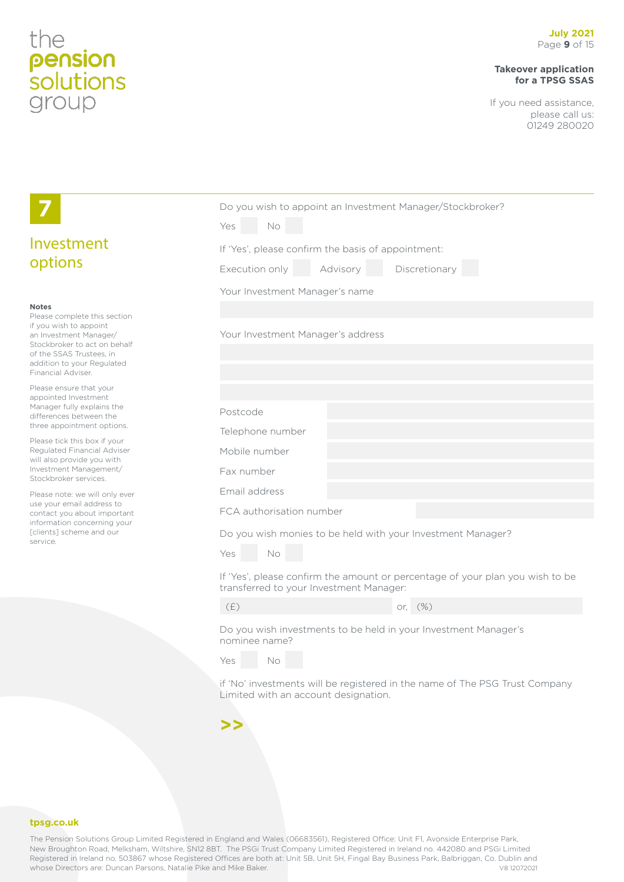# **Takeover application for a TPSG SSAS**

If you need assistance, please call us: 01249 280020

|                                                                                                                                                                                                                  | Do you wish to appoint an Investment Manager/Stockbroker?<br>No<br>Yes                                                   |          |                                                                             |
|------------------------------------------------------------------------------------------------------------------------------------------------------------------------------------------------------------------|--------------------------------------------------------------------------------------------------------------------------|----------|-----------------------------------------------------------------------------|
| Investment                                                                                                                                                                                                       | If 'Yes', please confirm the basis of appointment:                                                                       |          |                                                                             |
| options                                                                                                                                                                                                          | Execution only                                                                                                           | Advisory | Discretionary                                                               |
|                                                                                                                                                                                                                  | Your Investment Manager's name                                                                                           |          |                                                                             |
| <b>Notes</b><br>Please complete this section<br>if you wish to appoint<br>an Investment Manager/<br>Stockbroker to act on behalf<br>of the SSAS Trustees, in<br>addition to your Regulated<br>Financial Adviser. | Your Investment Manager's address                                                                                        |          |                                                                             |
| Please ensure that your<br>appointed Investment                                                                                                                                                                  |                                                                                                                          |          |                                                                             |
| Manager fully explains the<br>differences between the                                                                                                                                                            | Postcode                                                                                                                 |          |                                                                             |
| three appointment options.<br>Please tick this box if your                                                                                                                                                       | Telephone number                                                                                                         |          |                                                                             |
| Regulated Financial Adviser<br>will also provide you with                                                                                                                                                        | Mobile number                                                                                                            |          |                                                                             |
| Investment Management/<br>Stockbroker services.                                                                                                                                                                  | Fax number                                                                                                               |          |                                                                             |
| Please note: we will only ever<br>use your email address to                                                                                                                                                      | Email address                                                                                                            |          |                                                                             |
| contact you about important<br>information concerning your                                                                                                                                                       | FCA authorisation number                                                                                                 |          |                                                                             |
| [clients] scheme and our<br>service.                                                                                                                                                                             | Do you wish monies to be held with your Investment Manager?                                                              |          |                                                                             |
|                                                                                                                                                                                                                  | No<br>Yes                                                                                                                |          |                                                                             |
|                                                                                                                                                                                                                  | If 'Yes', please confirm the amount or percentage of your plan you wish to be<br>transferred to your Investment Manager: |          |                                                                             |
|                                                                                                                                                                                                                  | (E)                                                                                                                      |          | or, (%)                                                                     |
|                                                                                                                                                                                                                  | Do you wish investments to be held in your Investment Manager's<br>nominee name?                                         |          |                                                                             |
|                                                                                                                                                                                                                  | No<br>Yes                                                                                                                |          |                                                                             |
|                                                                                                                                                                                                                  | Limited with an account designation.                                                                                     |          | if 'No' investments will be registered in the name of The PSG Trust Company |
|                                                                                                                                                                                                                  | >>                                                                                                                       |          |                                                                             |

### **tpsg.co.uk**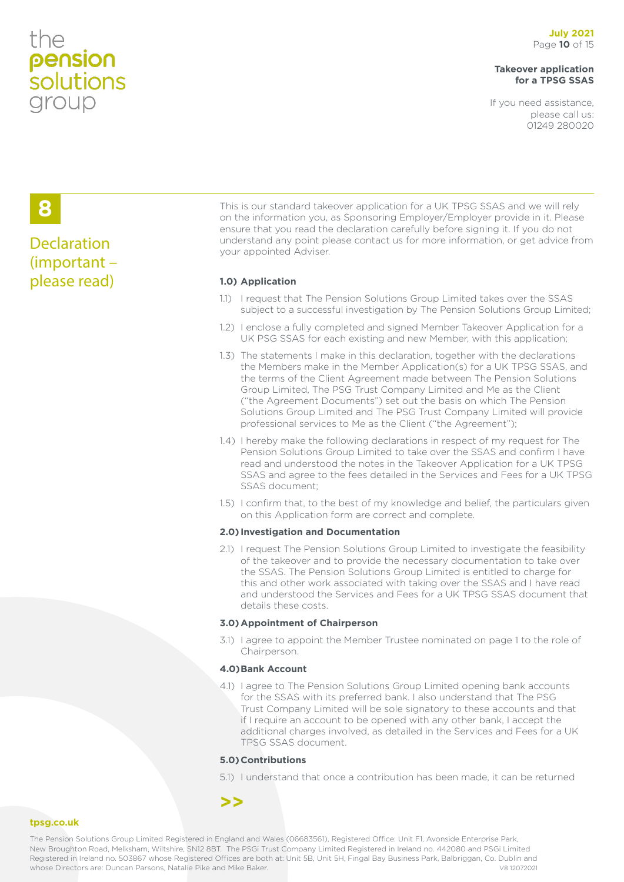# the pension<br>solutions group

# **Takeover application for a TPSG SSAS**

If you need assistance, please call us: 01249 280020

# **8**

# **Declaration** (important – please read) **1.0) Application**

This is our standard takeover application for a UK TPSG SSAS and we will rely on the information you, as Sponsoring Employer/Employer provide in it. Please ensure that you read the declaration carefully before signing it. If you do not understand any point please contact us for more information, or get advice from your appointed Adviser.

- 1.1) I request that The Pension Solutions Group Limited takes over the SSAS subject to a successful investigation by The Pension Solutions Group Limited;
- 1.2) I enclose a fully completed and signed Member Takeover Application for a UK PSG SSAS for each existing and new Member, with this application;
- 1.3) The statements I make in this declaration, together with the declarations the Members make in the Member Application(s) for a UK TPSG SSAS, and the terms of the Client Agreement made between The Pension Solutions Group Limited, The PSG Trust Company Limited and Me as the Client ("the Agreement Documents") set out the basis on which The Pension Solutions Group Limited and The PSG Trust Company Limited will provide professional services to Me as the Client ("the Agreement");
- 1.4) I hereby make the following declarations in respect of my request for The Pension Solutions Group Limited to take over the SSAS and confirm I have read and understood the notes in the Takeover Application for a UK TPSG SSAS and agree to the fees detailed in the Services and Fees for a UK TPSG SSAS document;
- 1.5) I confirm that, to the best of my knowledge and belief, the particulars given on this Application form are correct and complete.

## **2.0) Investigation and Documentation**

2.1) I request The Pension Solutions Group Limited to investigate the feasibility of the takeover and to provide the necessary documentation to take over the SSAS. The Pension Solutions Group Limited is entitled to charge for this and other work associated with taking over the SSAS and I have read and understood the Services and Fees for a UK TPSG SSAS document that details these costs.

## **3.0)Appointment of Chairperson**

3.1) I agree to appoint the Member Trustee nominated on page 1 to the role of Chairperson.

## **4.0)Bank Account**

4.1) I agree to The Pension Solutions Group Limited opening bank accounts for the SSAS with its preferred bank. I also understand that The PSG Trust Company Limited will be sole signatory to these accounts and that if I require an account to be opened with any other bank, I accept the additional charges involved, as detailed in the Services and Fees for a UK TPSG SSAS document.

# **5.0)Contributions**

5.1) I understand that once a contribution has been made, it can be returned

# **>>**

## **tpsg.co.uk**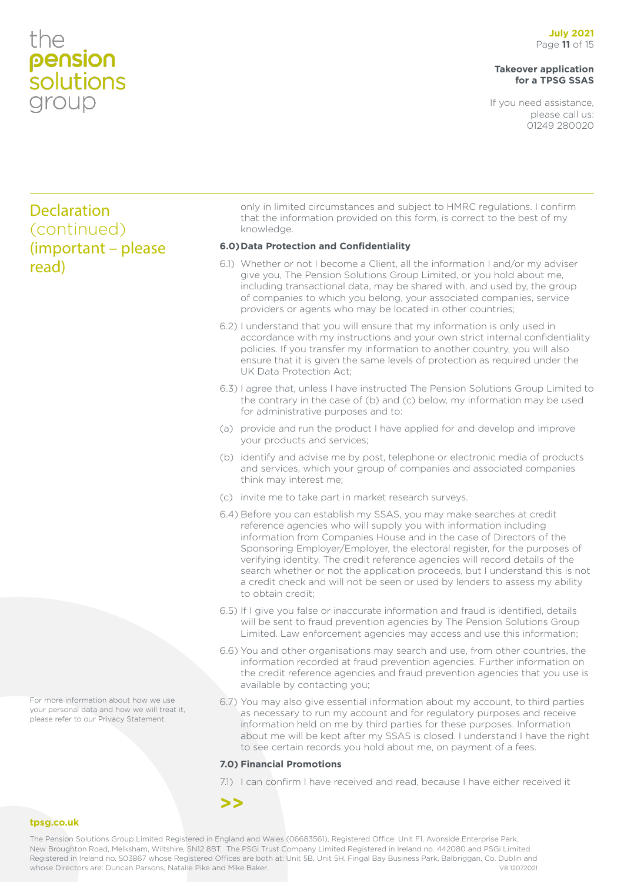# the pension *solutions* group

# **Takeover application for a TPSG SSAS**

If you need assistance, please call us: 01249 280020

# Declaration (continued) (important – please read)

only in limited circumstances and subject to HMRC regulations. I confirm that the information provided on this form, is correct to the best of my knowledge.

# **6.0)Data Protection and Confidentiality**

- 6.1) Whether or not I become a Client, all the information I and/or my adviser give you, The Pension Solutions Group Limited, or you hold about me, including transactional data, may be shared with, and used by, the group of companies to which you belong, your associated companies, service providers or agents who may be located in other countries;
- 6.2) I understand that you will ensure that my information is only used in accordance with my instructions and your own strict internal confidentiality policies. If you transfer my information to another country, you will also ensure that it is given the same levels of protection as required under the UK Data Protection Act;
- 6.3) I agree that, unless I have instructed The Pension Solutions Group Limited to the contrary in the case of (b) and (c) below, my information may be used for administrative purposes and to:
- (a) provide and run the product I have applied for and develop and improve your products and services;
- (b) identify and advise me by post, telephone or electronic media of products and services, which your group of companies and associated companies think may interest me;
- (c) invite me to take part in market research surveys.
- 6.4) Before you can establish my SSAS, you may make searches at credit reference agencies who will supply you with information including information from Companies House and in the case of Directors of the Sponsoring Employer/Employer, the electoral register, for the purposes of verifying identity. The credit reference agencies will record details of the search whether or not the application proceeds, but I understand this is not a credit check and will not be seen or used by lenders to assess my ability to obtain credit;
- 6.5) If I give you false or inaccurate information and fraud is identified, details will be sent to fraud prevention agencies by The Pension Solutions Group Limited. Law enforcement agencies may access and use this information;
- 6.6) You and other organisations may search and use, from other countries, the information recorded at fraud prevention agencies. Further information on the credit reference agencies and fraud prevention agencies that you use is available by contacting you;
- 6.7) You may also give essential information about my account, to third parties as necessary to run my account and for regulatory purposes and receive information held on me by third parties for these purposes. Information about me will be kept after my SSAS is closed. I understand I have the right to see certain records you hold about me, on payment of a fees.

# **7.0) Financial Promotions**

7.1) I can confirm I have received and read, because I have either received it



## **tpsg.co.uk**

The Pension Solutions Group Limited Registered in England and Wales (06683561), Registered Office: Unit F1, Avonside Enterprise Park, New Broughton Road, Melksham, Wiltshire, SN12 8BT. The PSGi Trust Company Limited Registered in Ireland no. 442080 and PSGi Limited Registered in Ireland no. 503867 whose Registered Offices are both at: Unit 5B, Unit 5H, Fingal Bay Business Park, Balbriggan, Co. Dublin and whose Directors are: Duncan Parsons, Natalie Pike and Mike Baker. V8 12072021

For more information about how we use your personal data and how we will treat it, please refer to our Privacy Statement.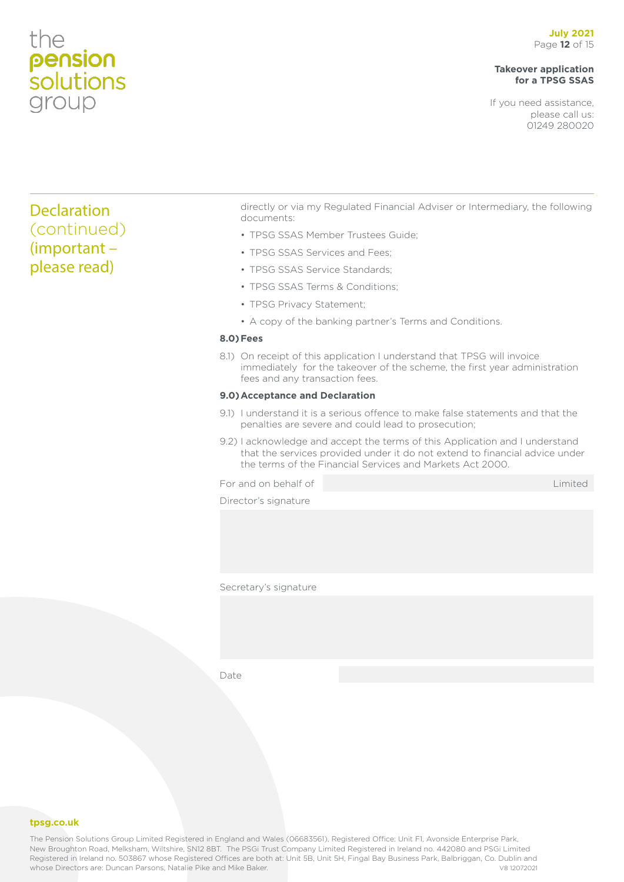# the pension<br>solutions group

# **Takeover application for a TPSG SSAS**

If you need assistance, please call us: 01249 280020

# Declaration (continued) (important – please read)

directly or via my Regulated Financial Adviser or Intermediary, the following documents:

- TPSG SSAS Member Trustees Guide;
- TPSG SSAS Services and Fees;
- TPSG SSAS Service Standards;
- TPSG SSAS Terms & Conditions;
- TPSG Privacy Statement;
- A copy of the banking partner's Terms and Conditions.

# **8.0)Fees**

8.1) On receipt of this application I understand that TPSG will invoice immediately for the takeover of the scheme, the first year administration fees and any transaction fees.

### **9.0)Acceptance and Declaration**

- 9.1) I understand it is a serious offence to make false statements and that the penalties are severe and could lead to prosecution;
- 9.2) I acknowledge and accept the terms of this Application and I understand that the services provided under it do not extend to financial advice under the terms of the Financial Services and Markets Act 2000.

For and on behalf of Limited Assembly and the Limited Limited Assembly and the Limited

Director's signature

Secretary's signature

Date

**tpsg.co.uk**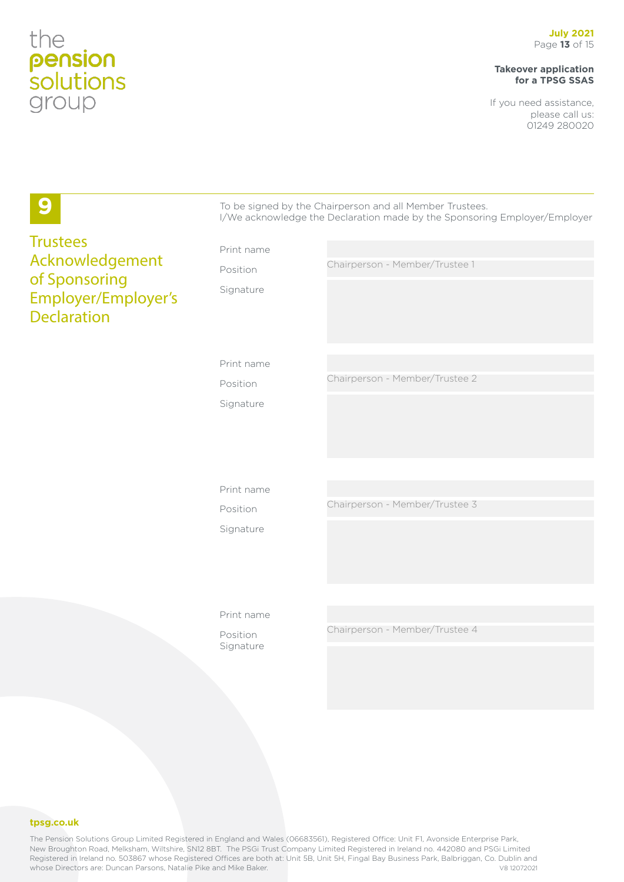# **Takeover application for a TPSG SSAS**

If you need assistance, please call us: 01249 280020

| 9                                                                             |            | To be signed by the Chairperson and all Member Trustees.<br>I/We acknowledge the Declaration made by the Sponsoring Employer/Employer |
|-------------------------------------------------------------------------------|------------|---------------------------------------------------------------------------------------------------------------------------------------|
| <b>Trustees</b>                                                               | Print name |                                                                                                                                       |
| Acknowledgement<br>of Sponsoring<br>Employer/Employer's<br><b>Declaration</b> | Position   | Chairperson - Member/Trustee 1                                                                                                        |
|                                                                               | Signature  |                                                                                                                                       |
|                                                                               | Print name |                                                                                                                                       |
|                                                                               | Position   | Chairperson - Member/Trustee 2                                                                                                        |
|                                                                               | Signature  |                                                                                                                                       |
|                                                                               |            |                                                                                                                                       |
|                                                                               | Print name |                                                                                                                                       |
|                                                                               | Position   | Chairperson - Member/Trustee 3                                                                                                        |
|                                                                               | Signature  |                                                                                                                                       |
|                                                                               |            |                                                                                                                                       |
|                                                                               | Print name |                                                                                                                                       |
|                                                                               | Position   | Chairperson - Member/Trustee 4                                                                                                        |
|                                                                               | Signature  |                                                                                                                                       |
|                                                                               |            |                                                                                                                                       |

### **tpsg.co.uk**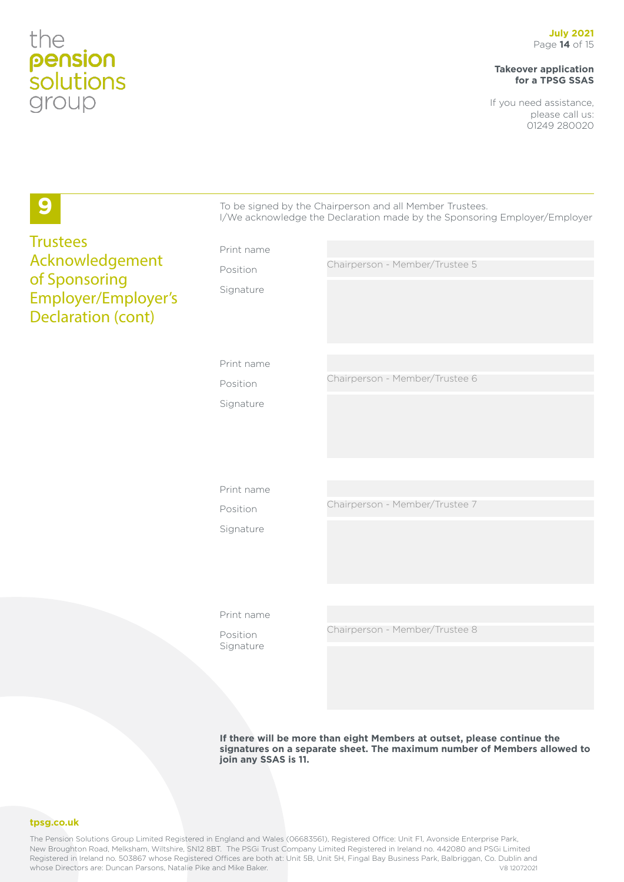# **Takeover application for a TPSG SSAS**

If you need assistance, please call us: 01249 280020

| 9                                                                                    |            | To be signed by the Chairperson and all Member Trustees.<br>I/We acknowledge the Declaration made by the Sponsoring Employer/Employer |
|--------------------------------------------------------------------------------------|------------|---------------------------------------------------------------------------------------------------------------------------------------|
| <b>Trustees</b>                                                                      | Print name |                                                                                                                                       |
| Acknowledgement<br>of Sponsoring<br>Employer/Employer's<br><b>Declaration (cont)</b> | Position   | Chairperson - Member/Trustee 5                                                                                                        |
|                                                                                      | Signature  |                                                                                                                                       |
|                                                                                      | Print name |                                                                                                                                       |
|                                                                                      | Position   | Chairperson - Member/Trustee 6                                                                                                        |
|                                                                                      | Signature  |                                                                                                                                       |
|                                                                                      |            |                                                                                                                                       |
|                                                                                      | Print name |                                                                                                                                       |
|                                                                                      | Position   | Chairperson - Member/Trustee 7                                                                                                        |
|                                                                                      | Signature  |                                                                                                                                       |
|                                                                                      | Print name |                                                                                                                                       |
|                                                                                      | Position   | Chairperson - Member/Trustee 8                                                                                                        |
|                                                                                      | Signature  |                                                                                                                                       |

**If there will be more than eight Members at outset, please continue the signatures on a separate sheet. The maximum number of Members allowed to join any SSAS is 11.**

**tpsg.co.uk**